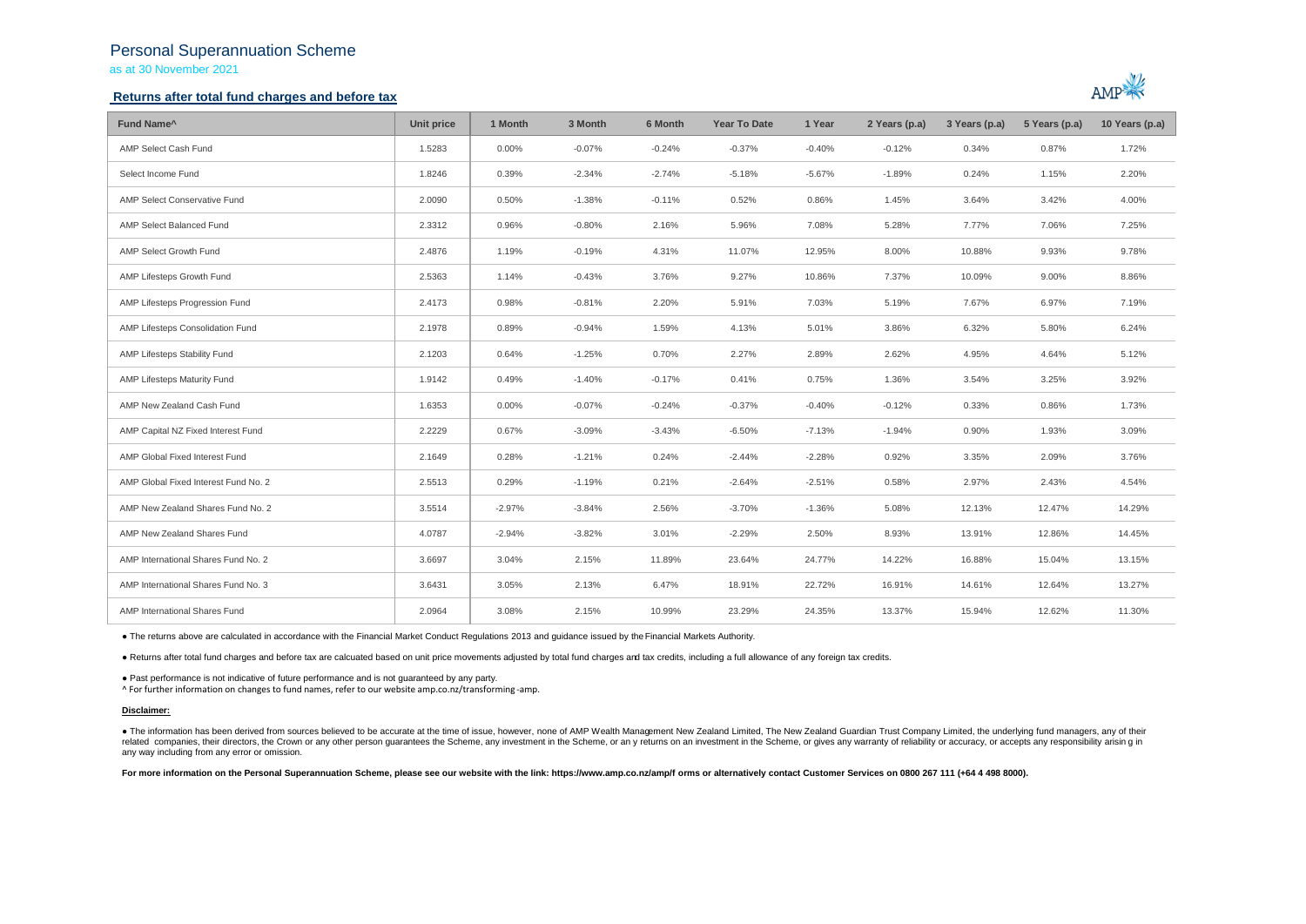## Personal Superannuation Scheme

as at 30 November 2021

## **Returns after total fund charges and before tax**



| Fund Name <sup>^</sup>               | Unit price | 1 Month  | 3 Month  | 6 Month  | <b>Year To Date</b> | 1 Year   | 2 Years (p.a) | 3 Years (p.a) | 5 Years (p.a) | 10 Years (p.a) |
|--------------------------------------|------------|----------|----------|----------|---------------------|----------|---------------|---------------|---------------|----------------|
| AMP Select Cash Fund                 | 1.5283     | 0.00%    | $-0.07%$ | $-0.24%$ | $-0.37%$            | $-0.40%$ | $-0.12%$      | 0.34%         | 0.87%         | 1.72%          |
| Select Income Fund                   | 1.8246     | 0.39%    | $-2.34%$ | $-2.74%$ | $-5.18%$            | $-5.67%$ | $-1.89%$      | 0.24%         | 1.15%         | 2.20%          |
| AMP Select Conservative Fund         | 2.0090     | 0.50%    | $-1.38%$ | $-0.11%$ | 0.52%               | 0.86%    | 1.45%         | 3.64%         | 3.42%         | 4.00%          |
| AMP Select Balanced Fund             | 2.3312     | 0.96%    | $-0.80%$ | 2.16%    | 5.96%               | 7.08%    | 5.28%         | 7.77%         | 7.06%         | 7.25%          |
| AMP Select Growth Fund               | 2.4876     | 1.19%    | $-0.19%$ | 4.31%    | 11.07%              | 12.95%   | 8.00%         | 10.88%        | 9.93%         | 9.78%          |
| AMP Lifesteps Growth Fund            | 2.5363     | 1.14%    | $-0.43%$ | 3.76%    | 9.27%               | 10.86%   | 7.37%         | 10.09%        | 9.00%         | 8.86%          |
| AMP Lifesteps Progression Fund       | 2.4173     | 0.98%    | $-0.81%$ | 2.20%    | 5.91%               | 7.03%    | 5.19%         | 7.67%         | 6.97%         | 7.19%          |
| AMP Lifesteps Consolidation Fund     | 2.1978     | 0.89%    | $-0.94%$ | 1.59%    | 4.13%               | 5.01%    | 3.86%         | 6.32%         | 5.80%         | 6.24%          |
| AMP Lifesteps Stability Fund         | 2.1203     | 0.64%    | $-1.25%$ | 0.70%    | 2.27%               | 2.89%    | 2.62%         | 4.95%         | 4.64%         | 5.12%          |
| AMP Lifesteps Maturity Fund          | 1.9142     | 0.49%    | $-1.40%$ | $-0.17%$ | 0.41%               | 0.75%    | 1.36%         | 3.54%         | 3.25%         | 3.92%          |
| AMP New Zealand Cash Fund            | 1.6353     | 0.00%    | $-0.07%$ | $-0.24%$ | $-0.37%$            | $-0.40%$ | $-0.12%$      | 0.33%         | 0.86%         | 1.73%          |
| AMP Capital NZ Fixed Interest Fund   | 2.2229     | 0.67%    | $-3.09%$ | $-3.43%$ | $-6.50%$            | $-7.13%$ | $-1.94%$      | 0.90%         | 1.93%         | 3.09%          |
| AMP Global Fixed Interest Fund       | 2.1649     | 0.28%    | $-1.21%$ | 0.24%    | $-2.44%$            | $-2.28%$ | 0.92%         | 3.35%         | 2.09%         | 3.76%          |
| AMP Global Fixed Interest Fund No. 2 | 2.5513     | 0.29%    | $-1.19%$ | 0.21%    | $-2.64%$            | $-2.51%$ | 0.58%         | 2.97%         | 2.43%         | 4.54%          |
| AMP New Zealand Shares Fund No. 2    | 3.5514     | $-2.97%$ | $-3.84%$ | 2.56%    | $-3.70%$            | $-1.36%$ | 5.08%         | 12.13%        | 12.47%        | 14.29%         |
| AMP New Zealand Shares Fund          | 4.0787     | $-2.94%$ | $-3.82%$ | 3.01%    | $-2.29%$            | 2.50%    | 8.93%         | 13.91%        | 12.86%        | 14.45%         |
| AMP International Shares Fund No. 2  | 3.6697     | 3.04%    | 2.15%    | 11.89%   | 23.64%              | 24.77%   | 14.22%        | 16.88%        | 15.04%        | 13.15%         |
| AMP International Shares Fund No. 3  | 3.6431     | 3.05%    | 2.13%    | 6.47%    | 18.91%              | 22.72%   | 16.91%        | 14.61%        | 12.64%        | 13.27%         |
| AMP International Shares Fund        | 2.0964     | 3.08%    | 2.15%    | 10.99%   | 23.29%              | 24.35%   | 13.37%        | 15.94%        | 12.62%        | 11.30%         |

● The returns above are calculated in accordance with the Financial Market Conduct Regulations 2013 and guidance issued by the Financial Markets Authority.

● Returns after total fund charges and before tax are calcuated based on unit price movements adjusted by total fund charges and tax credits, including a full allowance of any foreign tax credits.

● Past performance is not indicative of future performance and is not guaranteed by any party.

^ For further information on changes to fund names, refer to our website amp.co.nz/transforming -amp.

### **Disclaimer:**

. The information has been derived from sources believed to be accurate at the time of issue, however, none of AMP Wealth Management New Zealand Limited, The New Zealand Guardian Trust Company Limited, the underlying fund related companies, their directors, the Crown or any other person quarantees the Scheme, any investment in the Scheme, or any returns on an investment in the Scheme, or gives any warranty of reliability or accuracy, or acc any way including from any error or omission.

For more information on the Personal Superannuation Scheme, please see our website with the link: https://www.amp.co.nz/amp/f orms or alternatively contact Customer Services on 0800 267 111 (+64 4 498 8000).